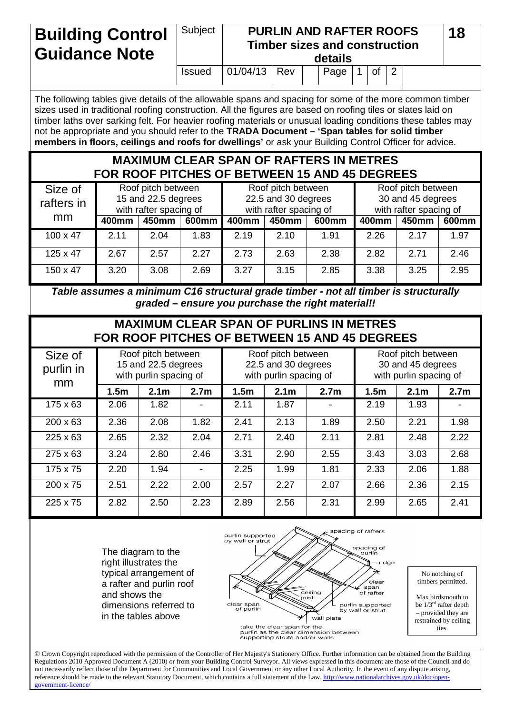## **Building Control Guidance Note** Subject **PURLIN AND RAFTER ROOFS Timber sizes and construction details 18** Issued  $\vert$  01/04/13 Rev  $\vert$  Page 1 of 2

The following tables give details of the allowable spans and spacing for some of the more common timber sizes used in traditional roofing construction. All the figures are based on roofing tiles or slates laid on timber laths over sarking felt. For heavier roofing materials or unusual loading conditions these tables may not be appropriate and you should refer to the **TRADA Document – 'Span tables for solid timber members in floors, ceilings and roofs for dwellings'** or ask your Building Control Officer for advice.

## **MAXIMUM CLEAR SPAN OF RAFTERS IN METRES FOR ROOF PITCHES OF BETWEEN 15 AND 45 DEGREES**

| Size of<br>rafters in<br>mm | Roof pitch between<br>15 and 22.5 degrees<br>with rafter spacing of |       |       | Roof pitch between<br>22.5 and 30 degrees<br>with rafter spacing of |       |       | Roof pitch between<br>30 and 45 degrees<br>with rafter spacing of |       |       |
|-----------------------------|---------------------------------------------------------------------|-------|-------|---------------------------------------------------------------------|-------|-------|-------------------------------------------------------------------|-------|-------|
|                             | 400mm                                                               | 450mm | 600mm | 400mm                                                               | 450mm | 600mm | 400mm                                                             | 450mm | 600mm |
| $100 \times 47$             | 2.11                                                                | 2.04  | 1.83  | 2.19                                                                | 2.10  | 1.91  | 2.26                                                              | 2.17  | 1.97  |
| $125 \times 47$             | 2.67                                                                | 2.57  | 2.27  | 2.73                                                                | 2.63  | 2.38  | 2.82                                                              | 2.71  | 2.46  |
| $150 \times 47$             | 3.20                                                                | 3.08  | 2.69  | 3.27                                                                | 3.15  | 2.85  | 3.38                                                              | 3.25  | 2.95  |

*Table assumes a minimum C16 structural grade timber - not all timber is structurally graded – ensure you purchase the right material!!*

## **MAXIMUM CLEAR SPAN OF PURLINS IN METRES FOR ROOF PITCHES OF BETWEEN 15 AND 45 DEGREES**

| Size of<br>purlin in<br>mm | Roof pitch between<br>15 and 22.5 degrees<br>with purlin spacing of |                  |                          | Roof pitch between<br>22.5 and 30 degrees<br>with purlin spacing of |                  |                  | Roof pitch between<br>30 and 45 degrees<br>with purlin spacing of |                  |                  |  |
|----------------------------|---------------------------------------------------------------------|------------------|--------------------------|---------------------------------------------------------------------|------------------|------------------|-------------------------------------------------------------------|------------------|------------------|--|
|                            | 1.5 <sub>m</sub>                                                    | 2.1 <sub>m</sub> | 2.7 <sub>m</sub>         | 1.5 <sub>m</sub>                                                    | 2.1 <sub>m</sub> | 2.7 <sub>m</sub> | 1.5 <sub>m</sub>                                                  | 2.1 <sub>m</sub> | 2.7 <sub>m</sub> |  |
| $175 \times 63$            | 2.06                                                                | 1.82             | ۰                        | 2.11                                                                | 1.87             |                  | 2.19                                                              | 1.93             |                  |  |
| $200 \times 63$            | 2.36                                                                | 2.08             | 1.82                     | 2.41                                                                | 2.13             | 1.89             | 2.50                                                              | 2.21             | 1.98             |  |
| $225 \times 63$            | 2.65                                                                | 2.32             | 2.04                     | 2.71                                                                | 2.40             | 2.11             | 2.81                                                              | 2.48             | 2.22             |  |
| 275 x 63                   | 3.24                                                                | 2.80             | 2.46                     | 3.31                                                                | 2.90             | 2.55             | 3.43                                                              | 3.03             | 2.68             |  |
| 175 x 75                   | 2.20                                                                | 1.94             | $\overline{\phantom{a}}$ | 2.25                                                                | 1.99             | 1.81             | 2.33                                                              | 2.06             | 1.88             |  |
| $200 \times 75$            | 2.51                                                                | 2.22             | 2.00                     | 2.57                                                                | 2.27             | 2.07             | 2.66                                                              | 2.36             | 2.15             |  |
| $225 \times 75$            | 2.82                                                                | 2.50             | 2.23                     | 2.89                                                                | 2.56             | 2.31             | 2.99                                                              | 2.65             | 2.41             |  |

The diagram to the right illustrates the typical arrangement of a rafter and purlin roof and shows the dimensions referred to in the tables above



No notching of timbers permitted.

Max birdsmouth to be 1/3rd rafter depth – provided they are restrained by ceiling ties.

 Crown Copyright reproduced with the permission of the Controller of Her Majesty's Stationery Office. Further information can be obtained from the Building Regulations 2010 Approved Document A (2010) or from your Building Control Surveyor. All views expressed in this document are those of the Council and do not necessarily reflect those of the Department for Communities and Local Government or any other Local Authority. In the event of any dispute arising, reference should be made to the relevant Statutory Document, which contains a full statement of the Law[. http://www.nationalarchives.gov.uk/doc/open](http://www.nationalarchives.gov.uk/doc/open-government-licence/)ernment-lice